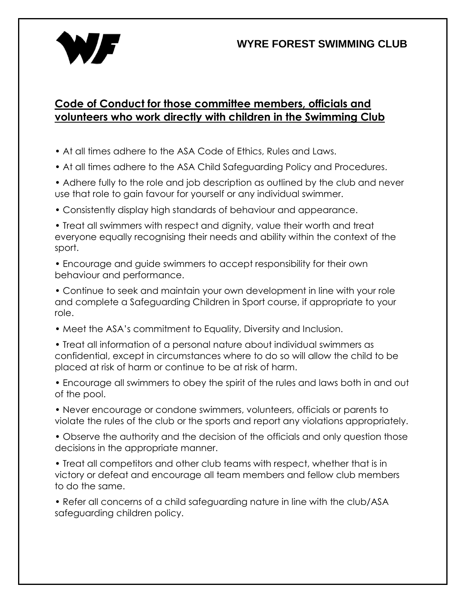## **WYRE FOREST SWIMMING CLUB**



## **Code of Conduct for those committee members, officials and volunteers who work directly with children in the Swimming Club**

- At all times adhere to the ASA Code of Ethics, Rules and Laws.
- At all times adhere to the ASA Child Safeguarding Policy and Procedures.
- Adhere fully to the role and job description as outlined by the club and never use that role to gain favour for yourself or any individual swimmer.
- Consistently display high standards of behaviour and appearance.
- Treat all swimmers with respect and dignity, value their worth and treat everyone equally recognising their needs and ability within the context of the sport.
- Encourage and guide swimmers to accept responsibility for their own behaviour and performance.
- Continue to seek and maintain your own development in line with your role and complete a Safeguarding Children in Sport course, if appropriate to your role.
- Meet the ASA's commitment to Equality, Diversity and Inclusion.
- Treat all information of a personal nature about individual swimmers as confidential, except in circumstances where to do so will allow the child to be placed at risk of harm or continue to be at risk of harm.
- Encourage all swimmers to obey the spirit of the rules and laws both in and out of the pool.
- Never encourage or condone swimmers, volunteers, officials or parents to violate the rules of the club or the sports and report any violations appropriately.
- Observe the authority and the decision of the officials and only question those decisions in the appropriate manner.
- Treat all competitors and other club teams with respect, whether that is in victory or defeat and encourage all team members and fellow club members to do the same.
- Refer all concerns of a child safeguarding nature in line with the club/ASA safeguarding children policy.